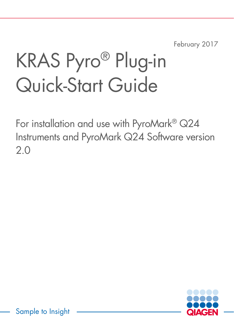February 2017

# KRAS Pyro® Plug-in Quick-Start Guide

For installation and use with PyroMark® Q24 Instruments and PyroMark Q24 Software version 2.0

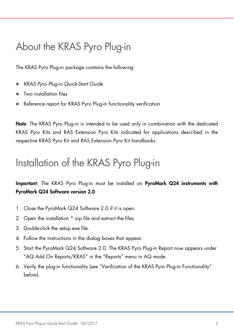# About the KRAS Pyro Plug-in

The KRAS Pyro Plug-in package contains the following:

- *KRAS Pyro Plug-in Quick-Start Guide*
- Two installation files
- Reference report for KRAS Pyro Plug-in functionality verification

Note: The KRAS Pyro Plug-in is intended to be used only in combination with the dedicated KRAS Pyro Kits and RAS Extension Pyro Kits indicated for applications described in the respective KRAS Pyro Kit and RAS Extension Pyro Kit handbooks.

# Installation of the KRAS Pyro Plug-in

Important: The KRAS Pyro Plug-in must be installed on PyroMark Q24 instruments with PyroMark Q24 Software version 2.0.

- 1. Close the PyroMark Q24 Software 2.0 if it is open.
- 2. Open the installation \*.zip file and extract the files.
- 3. Double-click the setup.exe file.
- 4. Follow the instructions in the dialog boxes that appear.
- 5. Start the PyroMark Q24 Software 2.0. The KRAS Pyro Plug-in Report now appears under "AQ Add On Reports/KRAS" in the "Reports" menu in AQ mode.
- 6. Verify the plug-in functionality (see "Verification of the KRAS Pyro Plug-in Functionality" below).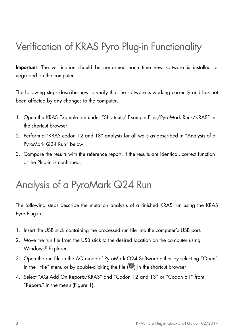# Verification of KRAS Pyro Plug-in Functionality

Important: The verification should be performed each time new software is installed or upgraded on the computer.

The following steps describe how to verify that the software is working correctly and has not been affected by any changes to the computer.

- 1. Open the KRAS Example run under "Shortcuts/ Example Files/PyroMark Runs/KRAS" in the shortcut browser.
- 2. Perform a "KRAS codon 12 and 13" analysis for all wells as described in "Analysis of a PyroMark Q24 Run" below.
- 3. Compare the results with the reference report. If the results are identical, correct function of the Plug-in is confirmed.

# Analysis of a PyroMark Q24 Run

The following steps describe the mutation analysis of a finished KRAS run using the KRAS Pyro Plug-in.

- 1. Insert the USB stick containing the processed run file into the computer's USB port.
- 2. Move the run file from the USB stick to the desired location on the computer using Windows® Explorer.
- 3. Open the run file in the AQ mode of PyroMark Q24 Software either by selecting "Open" in the "File" menu or by double-clicking the file  $(\vee)$  in the shortcut browser.
- 4. Select "AQ Add On Reports/KRAS" and "Codon 12 and 13" or "Codon 61" from "Reports" in the menu (Figure 1).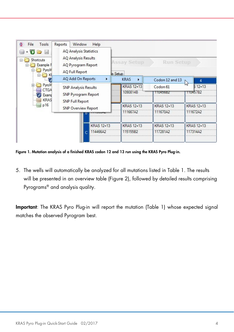| Tools<br>File<br>⊛<br>$\Box$<br>bed<br>$\star$<br>Shortcuts<br>F.<br>Example F<br>PyroM | Reports<br>Window<br>Help<br><b>AQ Analysis Statistics</b><br><b>AQ Analysis Results</b><br>AQ Pyrogram Report<br>AQ Full Report |  | <b>Assay Setup</b><br><b>Run Setup</b><br>is Setup |                                        |                           |  |
|-----------------------------------------------------------------------------------------|----------------------------------------------------------------------------------------------------------------------------------|--|----------------------------------------------------|----------------------------------------|---------------------------|--|
|                                                                                         | AQ Add On Reports<br>٠                                                                                                           |  | <b>KRAS</b><br>٠                                   | Codon 12 and 13                        |                           |  |
| PyroM<br>田<br><b>CTGA</b><br>Examp<br><b>KRAS</b><br>p16<br>i.                          | <b>SNP Analysis Results</b><br>SNP Pyrogram Report<br>SNP Full Report<br><b>SNP Overview Report</b>                              |  | KRAS 12+13<br>1090814B                             | Codon <sub>61</sub><br><b>110455BZ</b> | W<br>$512+13$<br>TT0457B2 |  |
|                                                                                         |                                                                                                                                  |  | <b>KRAS 12+13</b><br>111667A2                      | <b>KRAS 12+13</b><br>111670A2          | KRAS 12+13<br>111672A2    |  |
|                                                                                         | KRAS 12+13<br>114466A2<br>$\overline{C}$                                                                                         |  | KRAS 12+13<br>115155B2                             | <b>KRAS 12+13</b><br>117281A2          | KRAS 12+13<br>117314A2    |  |

Figure 1. Mutation analysis of a finished KRAS codon 12 and 13 run using the KRAS Pyro Plug-in.

5. The wells will automatically be analyzed for all mutations listed in Table 1. The results will be presented in an overview table (Figure 2), followed by detailed results comprising Pyrograms® and analysis quality.

Important: The KRAS Pyro Plug-in will report the mutation (Table 1) whose expected signal matches the observed Pyrogram best.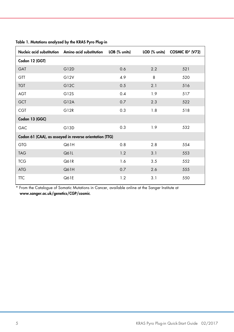|                                                         | Nucleic acid substitution Amino acid substitution | LOB (% units) |     | LOD (% units) COSMIC ID* (V72) |  |  |
|---------------------------------------------------------|---------------------------------------------------|---------------|-----|--------------------------------|--|--|
| Codon 12 (GGT)                                          |                                                   |               |     |                                |  |  |
| <b>GAT</b>                                              | G12D                                              | 0.6           | 2.2 | 521                            |  |  |
| GTT                                                     | G12V                                              | 4.9           | 8   | 520                            |  |  |
| <b>TGT</b>                                              | G12C                                              | 0.5           | 2.1 | 516                            |  |  |
| <b>AGT</b>                                              | G12S                                              | 0.4           | 1.9 | 517                            |  |  |
| <b>GCT</b>                                              | G12A                                              | 0.7           | 2.3 | 522                            |  |  |
| <b>CGT</b>                                              | G <sub>12R</sub>                                  | 0.3           | 1.8 | 518                            |  |  |
| Codon 13 (GGC)                                          |                                                   |               |     |                                |  |  |
| GAC                                                     | G13D                                              | 0.3           | 1.9 | 532                            |  |  |
| Codon 61 (CAA), as assayed in reverse orientation (TTG) |                                                   |               |     |                                |  |  |
| <b>GTG</b>                                              | Q61H                                              | 0.8           | 2.8 | 554                            |  |  |
| <b>TAG</b>                                              | Q61L                                              | 1.2           | 3.1 | 553                            |  |  |
| <b>TCG</b>                                              | Q61R                                              | 1.6           | 3.5 | 552                            |  |  |
| <b>ATG</b>                                              | Q61H                                              | 0.7           | 2.6 | 555                            |  |  |
| <b>TTC</b>                                              | Q61E                                              | 1.2           | 3.1 | 550                            |  |  |

Table 1. Mutations analyzed by the KRAS Pyro Plug-in

\* From the Catalogue of Somatic Mutations in Cancer, available online at the Sanger Institute at [www.sanger.ac.uk/genetics/CGP/cosmic](http://www.sanger.ac.uk/genetics/CGP/cosmic).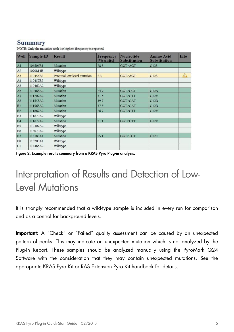#### **Summary**

| Well                  | <b>Sample ID</b> | <b>Result</b>                | Frequency<br>[% units] | <b>Nucleotide</b><br><b>Substitution</b> | <b>Amino Acid</b><br><b>Substitution</b> | Info        |
|-----------------------|------------------|------------------------------|------------------------|------------------------------------------|------------------------------------------|-------------|
| A1                    | 106506B1         | Mutation                     | 28.8                   | GGT AGT                                  | G12S                                     |             |
| A2                    | 1090814B         | Wildtype                     |                        |                                          |                                          |             |
| A3                    | 110456B2         | Potential low level mutation | 2.3                    | GGT>AGT                                  | <b>G12S</b>                              | $\triangle$ |
| A4                    | 110457B2         | Wildtype                     |                        |                                          |                                          |             |
| A <sub>5</sub>        | 110462A2         | Wildtype                     |                        |                                          |                                          |             |
| A6                    | 110486A2         | Mutation                     | 24.9                   | GGT>GCT                                  | G12A                                     |             |
| A7                    | 111207A2         | Mutation                     | 31.6                   | GGT>GTT                                  | G12V                                     |             |
| A8                    | 111555A2         | Mutation                     | 39.7                   | GGT>GAT                                  | G12D                                     |             |
| B1                    | 111565A2         | Mutation                     | 37.5                   | GGT>GAT                                  | G12D                                     |             |
| B2                    | 111667A2         | Mutation                     | 26.7                   | GGT>GTT                                  | G12V                                     |             |
| B <sub>3</sub>        | 111670A2         | Wildtype                     |                        |                                          |                                          |             |
| B4                    | 111672A2         | Mutation                     | 21.1                   | GGT GTT                                  | G12V                                     |             |
| <b>B</b> <sub>5</sub> | 112307A2         | Wildtype                     |                        |                                          |                                          |             |
| B <sub>6</sub>        | 113070A2         | Wildtype                     |                        |                                          |                                          |             |
| B7                    | 113188A1         | Mutation                     | 55.1                   | <b>GGT&gt;TGT</b>                        | G12C                                     |             |
| <b>B8</b>             | 113200A1         | Wildtype                     |                        |                                          |                                          |             |
| C1                    | 114466A2         | Wildtype                     |                        |                                          |                                          |             |
| $\sim$                |                  | $-1$                         |                        |                                          |                                          |             |

NOTE: Only the mutation with the highest frequency is reported.

Figure 2. Example results summary from a KRAS Pyro Plug-in analysis.

### Interpretation of Results and Detection of Low-Level Mutations

It is strongly recommended that a wild-type sample is included in every run for comparison and as a control for background levels.

Important: A "Check" or "Failed" quality assessment can be caused by an unexpected pattern of peaks. This may indicate an unexpected mutation which is not analyzed by the Plug-in Report. These samples should be analyzed manually using the PyroMark Q24 Software with the consideration that they may contain unexpected mutations. See the appropriate KRAS Pyro Kit or RAS Extension Pyro Kit handbook for details.